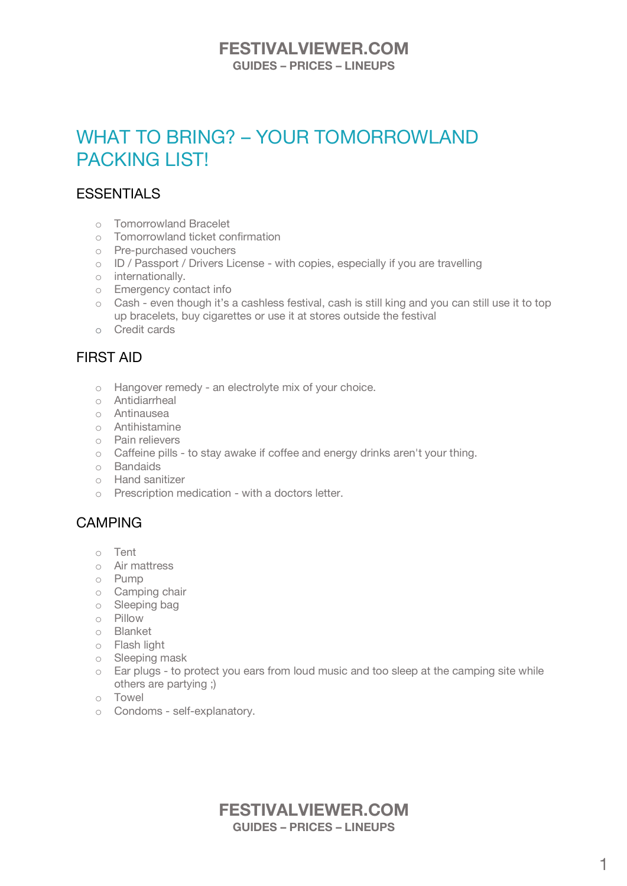### **FESTIVALVIEWER.COM GUIDES – PRICES – LINEUPS**

# WHAT TO BRING? – YOUR TOMORROWLAND PACKING LIST!

# **ESSENTIALS**

- o Tomorrowland Bracelet
- o Tomorrowland ticket confirmation
- o Pre-purchased vouchers
- o ID / Passport / Drivers License with copies, especially if you are travelling
- o internationally.
- o Emergency contact info
- o Cash even though it's a cashless festival, cash is still king and you can still use it to top up bracelets, buy cigarettes or use it at stores outside the festival
- o Credit cards

# FIRST AID

- o Hangover remedy an electrolyte mix of your choice.
- o Antidiarrheal
- o Antinausea
- o Antihistamine
- o Pain relievers
- o Caffeine pills to stay awake if coffee and energy drinks aren't your thing.
- o Bandaids
- o Hand sanitizer
- o Prescription medication with a doctors letter.

# CAMPING

- o Tent
- o Air mattress
- o Pump
- o Camping chair
- o Sleeping bag
- $\circ$  Pillow
- o Blanket
- o Flash light
- o Sleeping mask
- o Ear plugs to protect you ears from loud music and too sleep at the camping site while others are partying ;)
- o Towel
- o Condoms self-explanatory.

### **FESTIVALVIEWER.COM GUIDES – PRICES – LINEUPS**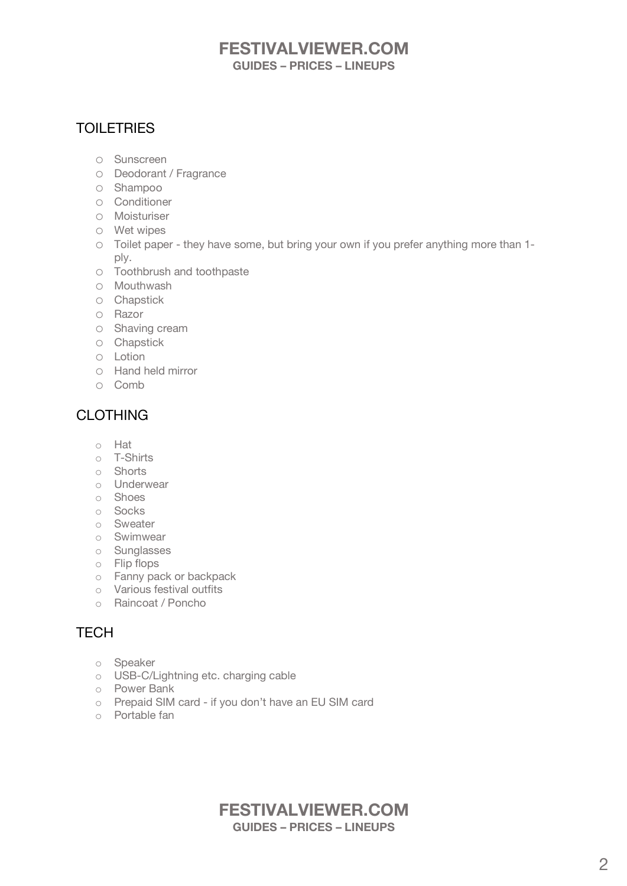# **FESTIVALVIEWER.COM GUIDES – PRICES – LINEUPS**

# **TOILETRIES**

- o Sunscreen
- o Deodorant / Fragrance
- o Shampoo
- o Conditioner
- o Moisturiser
- o Wet wipes
- o Toilet paper they have some, but bring your own if you prefer anything more than 1 ply.
- o Toothbrush and toothpaste
- o Mouthwash
- o Chapstick
- o Razor
- o Shaving cream
- o Chapstick
- o Lotion
- o Hand held mirror
- o Comb

# CLOTHING

- o Hat
- o T-Shirts
- o Shorts
- o Underwear
- o Shoes
- o Socks
- o Sweater
- o Swimwear
- o Sunglasses
- o Flip flops
- o Fanny pack or backpack
- o Various festival outfits
- o Raincoat / Poncho

# **TFCH**

- o Speaker
- o USB-C/Lightning etc. charging cable
- o Power Bank
- o Prepaid SIM card if you don't have an EU SIM card
- o Portable fan

# **FESTIVALVIEWER.COM GUIDES – PRICES – LINEUPS**